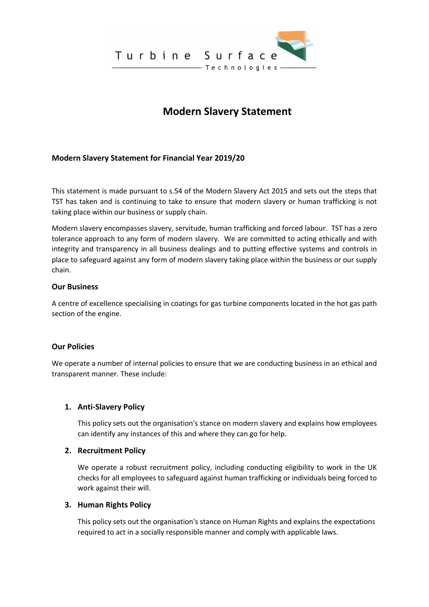

# **Modern Slavery Statement**

# **Modern Slavery Statement for Financial Year 2019/20**

This statement is made pursuant to s.54 of the Modern Slavery Act 2015 and sets out the steps that TST has taken and is continuing to take to ensure that modern slavery or human trafficking is not taking place within our business or supply chain.

Modern slavery encompasses slavery, servitude, human trafficking and forced labour. TST has a zero tolerance approach to any form of modern slavery. We are committed to acting ethically and with integrity and transparency in all business dealings and to putting effective systems and controls in place to safeguard against any form of modern slavery taking place within the business or our supply chain.

## **Our Business**

A centre of excellence specialising in coatings for gas turbine components located in the hot gas path section of the engine.

## **Our Policies**

We operate a number of internal policies to ensure that we are conducting business in an ethical and transparent manner. These include:

## **1. Anti-Slavery Policy**

This policy sets out the organisation's stance on modern slavery and explains how employees can identify any instances of this and where they can go for help.

#### **2. Recruitment Policy**

We operate a robust recruitment policy, including conducting eligibility to work in the UK checks for all employees to safeguard against human trafficking or individuals being forced to work against their will.

#### **3. Human Rights Policy**

This policy sets out the organisation's stance on Human Rights and explains the expectations required to act in a socially responsible manner and comply with applicable laws.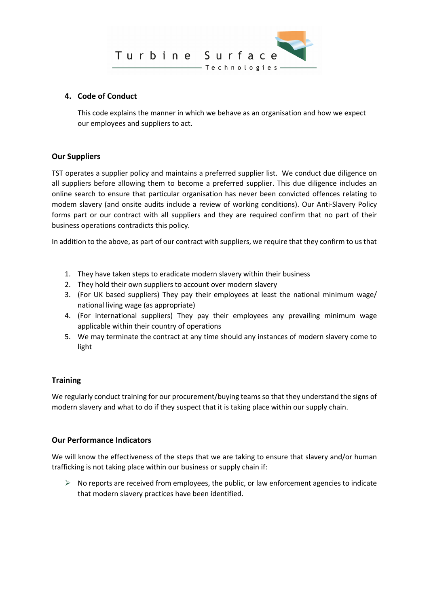

## **4. Code of Conduct**

This code explains the manner in which we behave as an organisation and how we expect our employees and suppliers to act.

# **Our Suppliers**

TST operates a supplier policy and maintains a preferred supplier list. We conduct due diligence on all suppliers before allowing them to become a preferred supplier. This due diligence includes an online search to ensure that particular organisation has never been convicted offences relating to modem slavery (and onsite audits include a review of working conditions). Our Anti-Slavery Policy forms part or our contract with all suppliers and they are required confirm that no part of their business operations contradicts this policy.

In addition to the above, as part of our contract with suppliers, we require that they confirm to us that

- 1. They have taken steps to eradicate modern slavery within their business
- 2. They hold their own suppliers to account over modern slavery
- 3. (For UK based suppliers) They pay their employees at least the national minimum wage/ national living wage (as appropriate)
- 4. (For international suppliers) They pay their employees any prevailing minimum wage applicable within their country of operations
- 5. We may terminate the contract at any time should any instances of modern slavery come to light

## **Training**

We regularly conduct training for our procurement/buying teams so that they understand the signs of modern slavery and what to do if they suspect that it is taking place within our supply chain.

## **Our Performance Indicators**

We will know the effectiveness of the steps that we are taking to ensure that slavery and/or human trafficking is not taking place within our business or supply chain if:

 $\triangleright$  No reports are received from employees, the public, or law enforcement agencies to indicate that modern slavery practices have been identified.